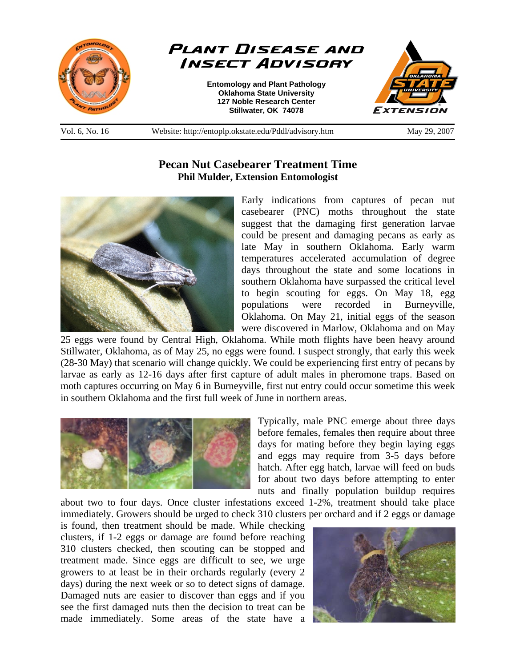

**Pecan Nut Casebearer Treatment Time Phil Mulder, Extension Entomologist** 



Early indications from captures of pecan nut casebearer (PNC) moths throughout the state suggest that the damaging first generation larvae could be present and damaging pecans as early as late May in southern Oklahoma. Early warm temperatures accelerated accumulation of degree days throughout the state and some locations in southern Oklahoma have surpassed the critical level to begin scouting for eggs. On May 18, egg populations were recorded in Burneyville, Oklahoma. On May 21, initial eggs of the season were discovered in Marlow, Oklahoma and on May

25 eggs were found by Central High, Oklahoma. While moth flights have been heavy around Stillwater, Oklahoma, as of May 25, no eggs were found. I suspect strongly, that early this week (28-30 May) that scenario will change quickly. We could be experiencing first entry of pecans by larvae as early as 12-16 days after first capture of adult males in pheromone traps. Based on moth captures occurring on May 6 in Burneyville, first nut entry could occur sometime this week in southern Oklahoma and the first full week of June in northern areas.



Typically, male PNC emerge about three days before females, females then require about three days for mating before they begin laying eggs and eggs may require from 3-5 days before hatch. After egg hatch, larvae will feed on buds for about two days before attempting to enter nuts and finally population buildup requires

about two to four days. Once cluster infestations exceed 1-2%, treatment should take place immediately. Growers should be urged to check 310 clusters per orchard and if 2 eggs or damage

is found, then treatment should be made. While checking clusters, if 1-2 eggs or damage are found before reaching 310 clusters checked, then scouting can be stopped and treatment made. Since eggs are difficult to see, we urge growers to at least be in their orchards regularly (every 2 days) during the next week or so to detect signs of damage. Damaged nuts are easier to discover than eggs and if you see the first damaged nuts then the decision to treat can be made immediately. Some areas of the state have a

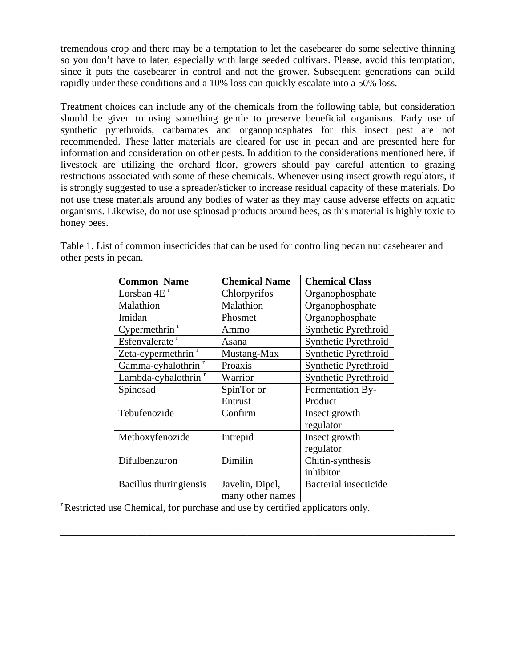tremendous crop and there may be a temptation to let the casebearer do some selective thinning so you don't have to later, especially with large seeded cultivars. Please, avoid this temptation, since it puts the casebearer in control and not the grower. Subsequent generations can build rapidly under these conditions and a 10% loss can quickly escalate into a 50% loss.

Treatment choices can include any of the chemicals from the following table, but consideration should be given to using something gentle to preserve beneficial organisms. Early use of synthetic pyrethroids, carbamates and organophosphates for this insect pest are not recommended. These latter materials are cleared for use in pecan and are presented here for information and consideration on other pests. In addition to the considerations mentioned here, if livestock are utilizing the orchard floor, growers should pay careful attention to grazing restrictions associated with some of these chemicals. Whenever using insect growth regulators, it is strongly suggested to use a spreader/sticker to increase residual capacity of these materials. Do not use these materials around any bodies of water as they may cause adverse effects on aquatic organisms. Likewise, do not use spinosad products around bees, as this material is highly toxic to honey bees.

| <b>Common Name</b>              | <b>Chemical Name</b> | <b>Chemical Class</b> |
|---------------------------------|----------------------|-----------------------|
| Lorsban $4Er$                   | Chlorpyrifos         | Organophosphate       |
| Malathion                       | Malathion            | Organophosphate       |
| Imidan                          | Phosmet              | Organophosphate       |
| Cypermethrin <sup>r</sup>       | Ammo                 | Synthetic Pyrethroid  |
| Esfenvalerate <sup>r</sup>      | Asana                | Synthetic Pyrethroid  |
| Zeta-cypermethrin <sup>r</sup>  | Mustang-Max          | Synthetic Pyrethroid  |
| Gamma-cyhalothrin <sup>r</sup>  | Proaxis              | Synthetic Pyrethroid  |
| Lambda-cyhalothrin <sup>r</sup> | Warrior              | Synthetic Pyrethroid  |
| Spinosad                        | SpinTor or           | Fermentation By-      |
|                                 | Entrust              | Product               |
| Tebufenozide                    | Confirm              | Insect growth         |
|                                 |                      | regulator             |
| Methoxyfenozide                 | Intrepid             | Insect growth         |
|                                 |                      | regulator             |
| Difulbenzuron                   | Dimilin              | Chitin-synthesis      |
|                                 |                      | inhibitor             |
| Bacillus thuringiensis          | Javelin, Dipel,      | Bacterial insecticide |
|                                 | many other names     |                       |

\_\_\_\_\_\_\_\_\_\_\_\_\_\_\_\_\_\_\_\_\_\_\_\_\_\_\_\_\_\_\_\_\_\_\_\_\_\_\_\_\_\_\_\_\_\_\_\_\_\_\_\_\_\_\_\_\_\_\_\_\_\_\_\_\_\_\_\_\_\_\_\_\_\_\_\_\_\_

Table 1. List of common insecticides that can be used for controlling pecan nut casebearer and other pests in pecan.

<sup>r</sup> Restricted use Chemical, for purchase and use by certified applicators only.